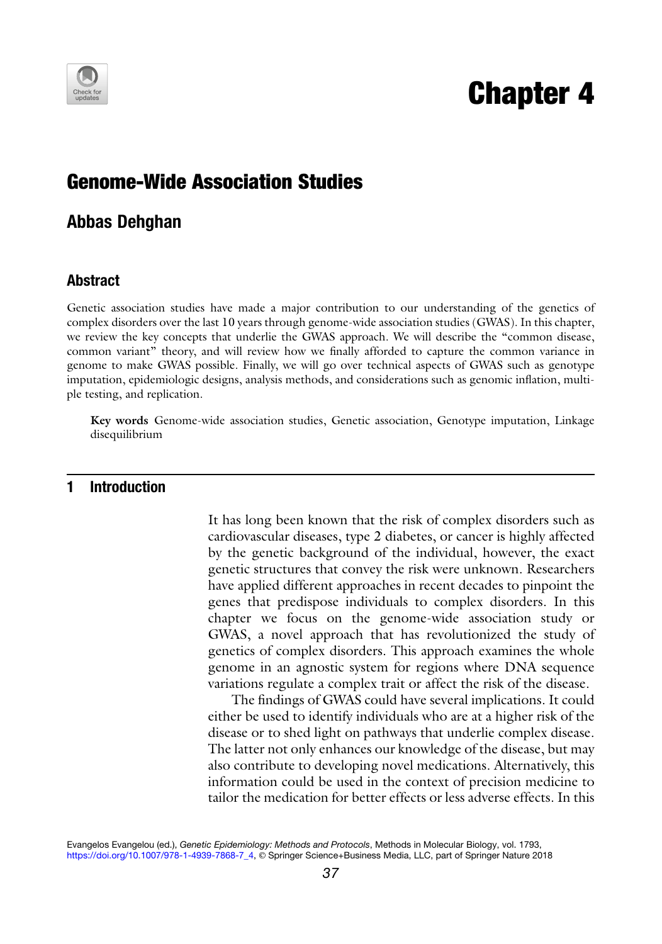

# Chapter 4

# Genome-Wide Association Studies

## Abbas Dehghan

#### Abstract

Genetic association studies have made a major contribution to our understanding of the genetics of complex disorders over the last 10 years through genome-wide association studies (GWAS). In this chapter, we review the key concepts that underlie the GWAS approach. We will describe the "common disease, common variant" theory, and will review how we finally afforded to capture the common variance in genome to make GWAS possible. Finally, we will go over technical aspects of GWAS such as genotype imputation, epidemiologic designs, analysis methods, and considerations such as genomic inflation, multiple testing, and replication.

Key words Genome-wide association studies, Genetic association, Genotype imputation, Linkage disequilibrium

#### 1 Introduction

It has long been known that the risk of complex disorders such as cardiovascular diseases, type 2 diabetes, or cancer is highly affected by the genetic background of the individual, however, the exact genetic structures that convey the risk were unknown. Researchers have applied different approaches in recent decades to pinpoint the genes that predispose individuals to complex disorders. In this chapter we focus on the genome-wide association study or GWAS, a novel approach that has revolutionized the study of genetics of complex disorders. This approach examines the whole genome in an agnostic system for regions where DNA sequence variations regulate a complex trait or affect the risk of the disease.

The findings of GWAS could have several implications. It could either be used to identify individuals who are at a higher risk of the disease or to shed light on pathways that underlie complex disease. The latter not only enhances our knowledge of the disease, but may also contribute to developing novel medications. Alternatively, this information could be used in the context of precision medicine to tailor the medication for better effects or less adverse effects. In this

Evangelos Evangelou (ed.), Genetic Epidemiology: Methods and Protocols, Methods in Molecular Biology, vol. 1793, [https://doi.org/10.1007/978-1-4939-7868-7\\_4](https://doi.org/10.1007/978-1-4939-7868-7_4), © Springer Science+Business Media, LLC, part of Springer Nature 2018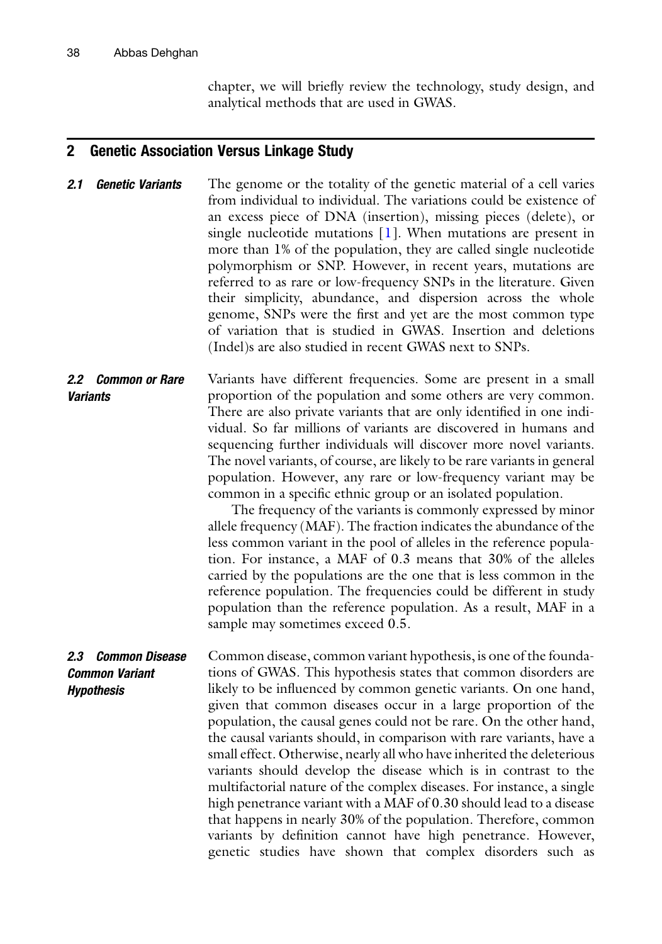chapter, we will briefly review the technology, study design, and analytical methods that are used in GWAS.

#### 2 Genetic Association Versus Linkage Study

- **2.1 Genetic Variants** The genome or the totality of the genetic material of a cell varies from individual to individual. The variations could be existence of an excess piece of DNA (insertion), missing pieces (delete), or single nucleotide mutations  $[1]$  $[1]$ . When mutations are present in more than 1% of the population, they are called single nucleotide polymorphism or SNP. However, in recent years, mutations are referred to as rare or low-frequency SNPs in the literature. Given their simplicity, abundance, and dispersion across the whole genome, SNPs were the first and yet are the most common type of variation that is studied in GWAS. Insertion and deletions (Indel)s are also studied in recent GWAS next to SNPs.
- 2.2 Common or Rare Variants Variants have different frequencies. Some are present in a small proportion of the population and some others are very common. There are also private variants that are only identified in one individual. So far millions of variants are discovered in humans and sequencing further individuals will discover more novel variants. The novel variants, of course, are likely to be rare variants in general population. However, any rare or low-frequency variant may be common in a specific ethnic group or an isolated population.

The frequency of the variants is commonly expressed by minor allele frequency (MAF). The fraction indicates the abundance of the less common variant in the pool of alleles in the reference population. For instance, a MAF of 0.3 means that 30% of the alleles carried by the populations are the one that is less common in the reference population. The frequencies could be different in study population than the reference population. As a result, MAF in a sample may sometimes exceed 0.5.

2.3 Common Disease Common Variant Hypothesis Common disease, common variant hypothesis, is one of the foundations of GWAS. This hypothesis states that common disorders are likely to be influenced by common genetic variants. On one hand, given that common diseases occur in a large proportion of the population, the causal genes could not be rare. On the other hand, the causal variants should, in comparison with rare variants, have a small effect. Otherwise, nearly all who have inherited the deleterious variants should develop the disease which is in contrast to the multifactorial nature of the complex diseases. For instance, a single high penetrance variant with a MAF of 0.30 should lead to a disease that happens in nearly 30% of the population. Therefore, common variants by definition cannot have high penetrance. However, genetic studies have shown that complex disorders such as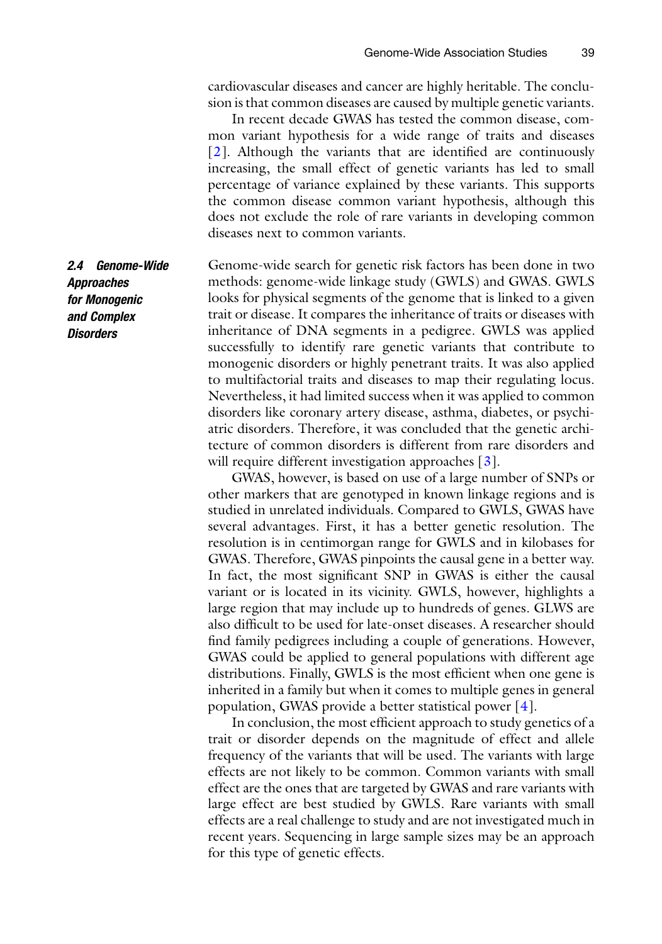cardiovascular diseases and cancer are highly heritable. The conclusion is that common diseases are caused by multiple genetic variants.

In recent decade GWAS has tested the common disease, common variant hypothesis for a wide range of traits and diseases [[2\]](#page-11-1). Although the variants that are identified are continuously increasing, the small effect of genetic variants has led to small percentage of variance explained by these variants. This supports the common disease common variant hypothesis, although this does not exclude the role of rare variants in developing common diseases next to common variants.

2.4 Genome-Wide Approaches for Monogenic and Complex **Disorders** Genome-wide search for genetic risk factors has been done in two methods: genome-wide linkage study (GWLS) and GWAS. GWLS looks for physical segments of the genome that is linked to a given trait or disease. It compares the inheritance of traits or diseases with inheritance of DNA segments in a pedigree. GWLS was applied successfully to identify rare genetic variants that contribute to monogenic disorders or highly penetrant traits. It was also applied to multifactorial traits and diseases to map their regulating locus. Nevertheless, it had limited success when it was applied to common disorders like coronary artery disease, asthma, diabetes, or psychiatric disorders. Therefore, it was concluded that the genetic architecture of common disorders is different from rare disorders and will require different investigation approaches [[3\]](#page-11-2).

GWAS, however, is based on use of a large number of SNPs or other markers that are genotyped in known linkage regions and is studied in unrelated individuals. Compared to GWLS, GWAS have several advantages. First, it has a better genetic resolution. The resolution is in centimorgan range for GWLS and in kilobases for GWAS. Therefore, GWAS pinpoints the causal gene in a better way. In fact, the most significant SNP in GWAS is either the causal variant or is located in its vicinity. GWLS, however, highlights a large region that may include up to hundreds of genes. GLWS are also difficult to be used for late-onset diseases. A researcher should find family pedigrees including a couple of generations. However, GWAS could be applied to general populations with different age distributions. Finally, GWLS is the most efficient when one gene is inherited in a family but when it comes to multiple genes in general population, GWAS provide a better statistical power [[4\]](#page-11-3).

In conclusion, the most efficient approach to study genetics of a trait or disorder depends on the magnitude of effect and allele frequency of the variants that will be used. The variants with large effects are not likely to be common. Common variants with small effect are the ones that are targeted by GWAS and rare variants with large effect are best studied by GWLS. Rare variants with small effects are a real challenge to study and are not investigated much in recent years. Sequencing in large sample sizes may be an approach for this type of genetic effects.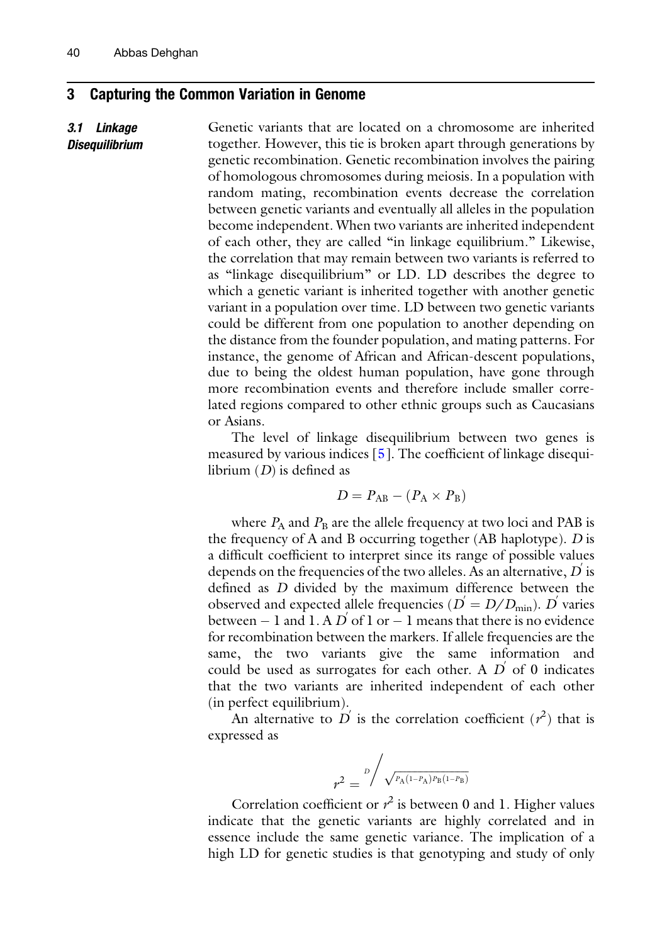#### 3 Capturing the Common Variation in Genome

3.1 Linkage Disequilibrium Genetic variants that are located on a chromosome are inherited together. However, this tie is broken apart through generations by genetic recombination. Genetic recombination involves the pairing of homologous chromosomes during meiosis. In a population with random mating, recombination events decrease the correlation between genetic variants and eventually all alleles in the population become independent. When two variants are inherited independent of each other, they are called "in linkage equilibrium." Likewise, the correlation that may remain between two variants is referred to as "linkage disequilibrium" or LD. LD describes the degree to which a genetic variant is inherited together with another genetic variant in a population over time. LD between two genetic variants could be different from one population to another depending on the distance from the founder population, and mating patterns. For instance, the genome of African and African-descent populations, due to being the oldest human population, have gone through more recombination events and therefore include smaller correlated regions compared to other ethnic groups such as Caucasians or Asians.

> The level of linkage disequilibrium between two genes is measured by various indices [\[5](#page-11-4)]. The coefficient of linkage disequilibrium  $(D)$  is defined as

$$
D=P_{AB}-(P_A\times P_B)
$$

where  $P_A$  and  $P_B$  are the allele frequency at two loci and PAB is the frequency of A and B occurring together (AB haplotype). D is a difficult coefficient to interpret since its range of possible values depends on the frequencies of the two alleles. As an alternative,  $D^{'}$  is defined as D divided by the maximum difference between the observed and expected allele frequencies ( $D = D/D_{\text{min}}$ ). D' varies between  $-1$  and  $1 \cdot A D'$  of  $1$  or  $-1$  means that there is no evidence for recombination between the markers. If allele frequencies are the same, the two variants give the same information and could be used as surrogates for each other. A  $D^{'}$  of 0 indicates that the two variants are inherited independent of each other (in perfect equilibrium).

An alternative to  $D^{'}$  is the correlation coefficient  $(r^2)$  that is expressed as

$$
r^2 = \int \sqrt{r_A^{(1-P_A)P_B(1-P_B)}}
$$

Correlation coefficient or  $r^2$  is between 0 and 1. Higher values indicate that the genetic variants are highly correlated and in essence include the same genetic variance. The implication of a high LD for genetic studies is that genotyping and study of only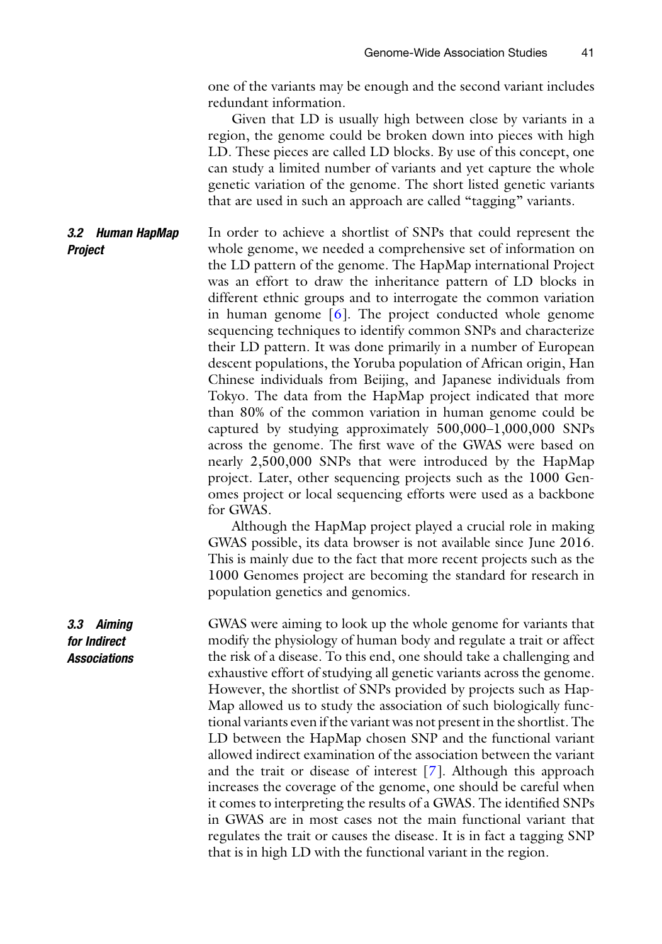one of the variants may be enough and the second variant includes redundant information.

Given that LD is usually high between close by variants in a region, the genome could be broken down into pieces with high LD. These pieces are called LD blocks. By use of this concept, one can study a limited number of variants and yet capture the whole genetic variation of the genome. The short listed genetic variants that are used in such an approach are called "tagging" variants.

3.2 Human HapMap Project In order to achieve a shortlist of SNPs that could represent the whole genome, we needed a comprehensive set of information on the LD pattern of the genome. The HapMap international Project was an effort to draw the inheritance pattern of LD blocks in different ethnic groups and to interrogate the common variation in human genome [[6\]](#page-11-5). The project conducted whole genome sequencing techniques to identify common SNPs and characterize their LD pattern. It was done primarily in a number of European descent populations, the Yoruba population of African origin, Han Chinese individuals from Beijing, and Japanese individuals from Tokyo. The data from the HapMap project indicated that more than 80% of the common variation in human genome could be captured by studying approximately 500,000–1,000,000 SNPs across the genome. The first wave of the GWAS were based on nearly 2,500,000 SNPs that were introduced by the HapMap project. Later, other sequencing projects such as the 1000 Genomes project or local sequencing efforts were used as a backbone for GWAS.

> Although the HapMap project played a crucial role in making GWAS possible, its data browser is not available since June 2016. This is mainly due to the fact that more recent projects such as the 1000 Genomes project are becoming the standard for research in population genetics and genomics.

GWAS were aiming to look up the whole genome for variants that modify the physiology of human body and regulate a trait or affect the risk of a disease. To this end, one should take a challenging and exhaustive effort of studying all genetic variants across the genome. However, the shortlist of SNPs provided by projects such as Hap-Map allowed us to study the association of such biologically functional variants even if the variant was not present in the shortlist. The LD between the HapMap chosen SNP and the functional variant allowed indirect examination of the association between the variant and the trait or disease of interest [\[7](#page-11-6)]. Although this approach increases the coverage of the genome, one should be careful when it comes to interpreting the results of a GWAS. The identified SNPs in GWAS are in most cases not the main functional variant that regulates the trait or causes the disease. It is in fact a tagging SNP that is in high LD with the functional variant in the region.

#### 3.3 Aiming for Indirect **Associations**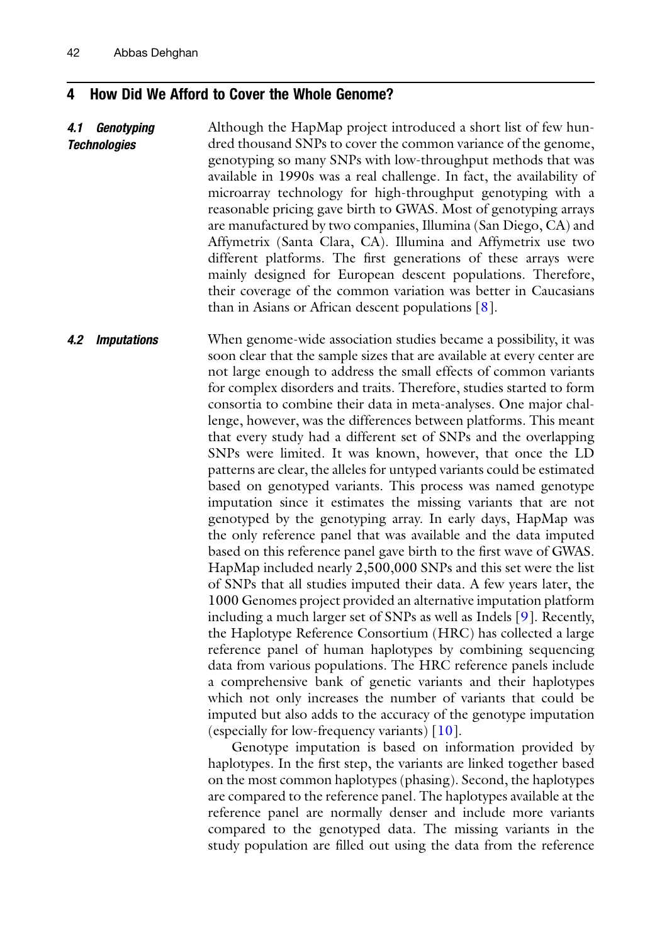### 4 How Did We Afford to Cover the Whole Genome?

4.1 Genotyping **Technologies** Although the HapMap project introduced a short list of few hundred thousand SNPs to cover the common variance of the genome, genotyping so many SNPs with low-throughput methods that was available in 1990s was a real challenge. In fact, the availability of microarray technology for high-throughput genotyping with a reasonable pricing gave birth to GWAS. Most of genotyping arrays are manufactured by two companies, Illumina (San Diego, CA) and Affymetrix (Santa Clara, CA). Illumina and Affymetrix use two different platforms. The first generations of these arrays were mainly designed for European descent populations. Therefore, their coverage of the common variation was better in Caucasians than in Asians or African descent populations [[8\]](#page-11-7).

**4.2 Imputations** When genome-wide association studies became a possibility, it was soon clear that the sample sizes that are available at every center are not large enough to address the small effects of common variants for complex disorders and traits. Therefore, studies started to form consortia to combine their data in meta-analyses. One major challenge, however, was the differences between platforms. This meant that every study had a different set of SNPs and the overlapping SNPs were limited. It was known, however, that once the LD patterns are clear, the alleles for untyped variants could be estimated based on genotyped variants. This process was named genotype imputation since it estimates the missing variants that are not genotyped by the genotyping array. In early days, HapMap was the only reference panel that was available and the data imputed based on this reference panel gave birth to the first wave of GWAS. HapMap included nearly 2,500,000 SNPs and this set were the list of SNPs that all studies imputed their data. A few years later, the 1000 Genomes project provided an alternative imputation platform including a much larger set of SNPs as well as Indels [\[9](#page-11-0)]. Recently, the Haplotype Reference Consortium (HRC) has collected a large reference panel of human haplotypes by combining sequencing data from various populations. The HRC reference panels include a comprehensive bank of genetic variants and their haplotypes which not only increases the number of variants that could be imputed but also adds to the accuracy of the genotype imputation (especially for low-frequency variants)  $[10]$  $[10]$  $[10]$ .

> Genotype imputation is based on information provided by haplotypes. In the first step, the variants are linked together based on the most common haplotypes (phasing). Second, the haplotypes are compared to the reference panel. The haplotypes available at the reference panel are normally denser and include more variants compared to the genotyped data. The missing variants in the study population are filled out using the data from the reference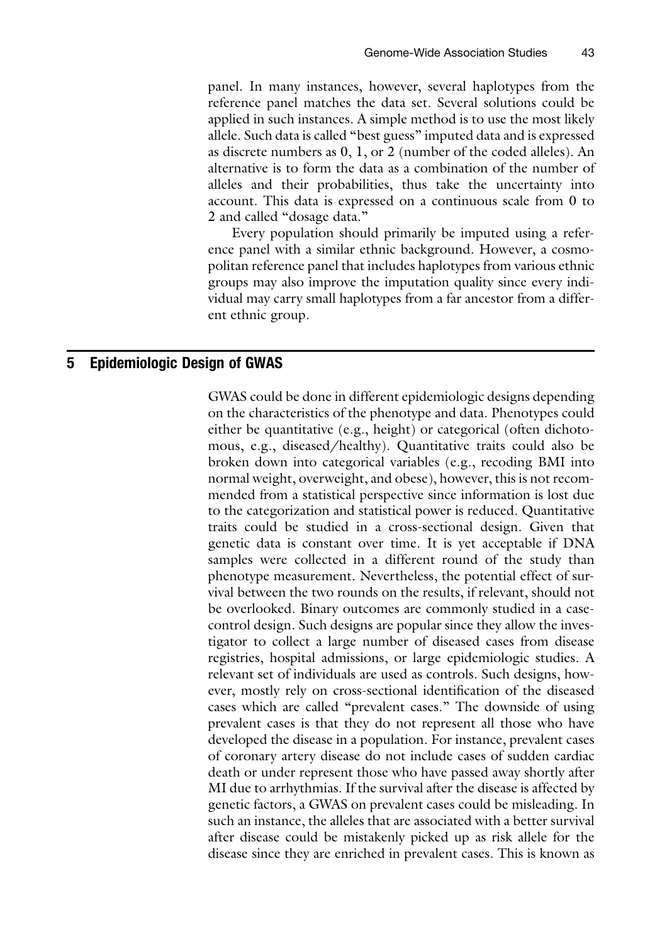panel. In many instances, however, several haplotypes from the reference panel matches the data set. Several solutions could be applied in such instances. A simple method is to use the most likely allele. Such data is called "best guess" imputed data and is expressed as discrete numbers as 0, 1, or 2 (number of the coded alleles). An alternative is to form the data as a combination of the number of alleles and their probabilities, thus take the uncertainty into account. This data is expressed on a continuous scale from 0 to 2 and called "dosage data."

Every population should primarily be imputed using a reference panel with a similar ethnic background. However, a cosmopolitan reference panel that includes haplotypes from various ethnic groups may also improve the imputation quality since every individual may carry small haplotypes from a far ancestor from a different ethnic group.

#### 5 Epidemiologic Design of GWAS

GWAS could be done in different epidemiologic designs depending on the characteristics of the phenotype and data. Phenotypes could either be quantitative (e.g., height) or categorical (often dichotomous, e.g., diseased/healthy). Quantitative traits could also be broken down into categorical variables (e.g., recoding BMI into normal weight, overweight, and obese), however, this is not recommended from a statistical perspective since information is lost due to the categorization and statistical power is reduced. Quantitative traits could be studied in a cross-sectional design. Given that genetic data is constant over time. It is yet acceptable if DNA samples were collected in a different round of the study than phenotype measurement. Nevertheless, the potential effect of survival between the two rounds on the results, if relevant, should not be overlooked. Binary outcomes are commonly studied in a casecontrol design. Such designs are popular since they allow the investigator to collect a large number of diseased cases from disease registries, hospital admissions, or large epidemiologic studies. A relevant set of individuals are used as controls. Such designs, however, mostly rely on cross-sectional identification of the diseased cases which are called "prevalent cases." The downside of using prevalent cases is that they do not represent all those who have developed the disease in a population. For instance, prevalent cases of coronary artery disease do not include cases of sudden cardiac death or under represent those who have passed away shortly after MI due to arrhythmias. If the survival after the disease is affected by genetic factors, a GWAS on prevalent cases could be misleading. In such an instance, the alleles that are associated with a better survival after disease could be mistakenly picked up as risk allele for the disease since they are enriched in prevalent cases. This is known as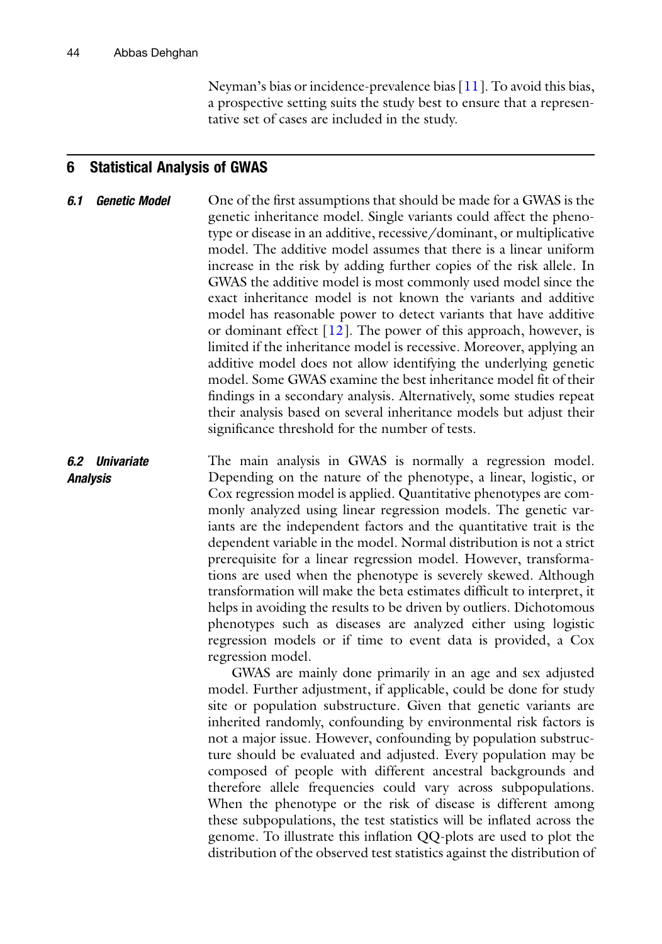Neyman's bias or incidence-prevalence bias [[11\]](#page-11-8). To avoid this bias, a prospective setting suits the study best to ensure that a representative set of cases are included in the study.

#### 6 Statistical Analysis of GWAS

**6.1 Genetic Model** One of the first assumptions that should be made for a GWAS is the genetic inheritance model. Single variants could affect the phenotype or disease in an additive, recessive/dominant, or multiplicative model. The additive model assumes that there is a linear uniform increase in the risk by adding further copies of the risk allele. In GWAS the additive model is most commonly used model since the exact inheritance model is not known the variants and additive model has reasonable power to detect variants that have additive or dominant effect [\[12](#page-11-9)]. The power of this approach, however, is limited if the inheritance model is recessive. Moreover, applying an additive model does not allow identifying the underlying genetic model. Some GWAS examine the best inheritance model fit of their findings in a secondary analysis. Alternatively, some studies repeat their analysis based on several inheritance models but adjust their significance threshold for the number of tests.

6.2 Univariate Analysis The main analysis in GWAS is normally a regression model. Depending on the nature of the phenotype, a linear, logistic, or Cox regression model is applied. Quantitative phenotypes are commonly analyzed using linear regression models. The genetic variants are the independent factors and the quantitative trait is the dependent variable in the model. Normal distribution is not a strict prerequisite for a linear regression model. However, transformations are used when the phenotype is severely skewed. Although transformation will make the beta estimates difficult to interpret, it helps in avoiding the results to be driven by outliers. Dichotomous phenotypes such as diseases are analyzed either using logistic regression models or if time to event data is provided, a Cox regression model.

> GWAS are mainly done primarily in an age and sex adjusted model. Further adjustment, if applicable, could be done for study site or population substructure. Given that genetic variants are inherited randomly, confounding by environmental risk factors is not a major issue. However, confounding by population substructure should be evaluated and adjusted. Every population may be composed of people with different ancestral backgrounds and therefore allele frequencies could vary across subpopulations. When the phenotype or the risk of disease is different among these subpopulations, the test statistics will be inflated across the genome. To illustrate this inflation QQ-plots are used to plot the distribution of the observed test statistics against the distribution of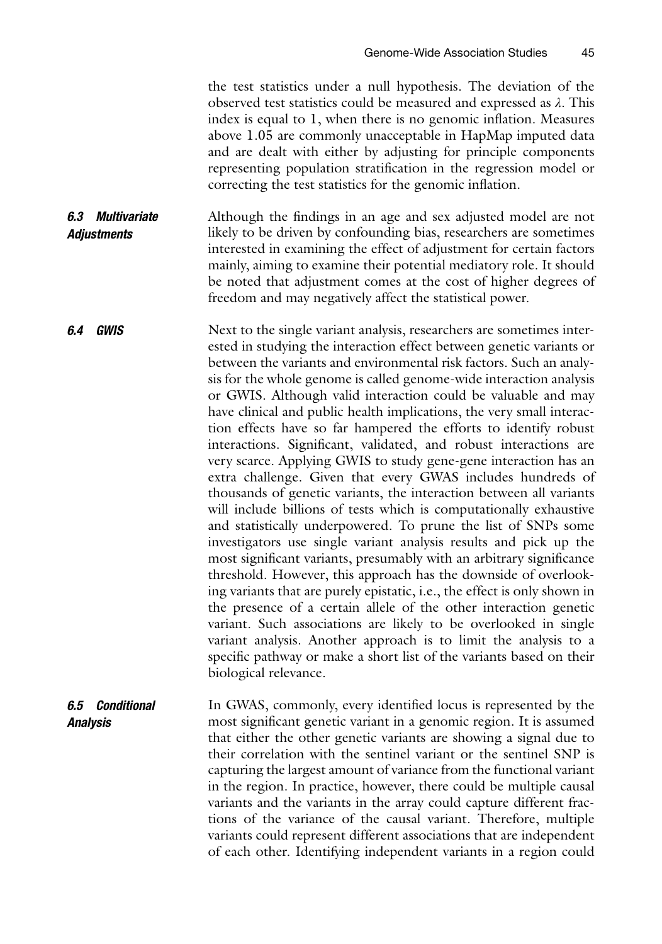the test statistics under a null hypothesis. The deviation of the observed test statistics could be measured and expressed as λ. This index is equal to 1, when there is no genomic inflation. Measures above 1.05 are commonly unacceptable in HapMap imputed data and are dealt with either by adjusting for principle components representing population stratification in the regression model or correcting the test statistics for the genomic inflation.

- 6.3 Multivariate Adjustments Although the findings in an age and sex adjusted model are not likely to be driven by confounding bias, researchers are sometimes interested in examining the effect of adjustment for certain factors mainly, aiming to examine their potential mediatory role. It should be noted that adjustment comes at the cost of higher degrees of freedom and may negatively affect the statistical power.
- **6.4 GWIS** Next to the single variant analysis, researchers are sometimes interested in studying the interaction effect between genetic variants or between the variants and environmental risk factors. Such an analysis for the whole genome is called genome-wide interaction analysis or GWIS. Although valid interaction could be valuable and may have clinical and public health implications, the very small interaction effects have so far hampered the efforts to identify robust interactions. Significant, validated, and robust interactions are very scarce. Applying GWIS to study gene-gene interaction has an extra challenge. Given that every GWAS includes hundreds of thousands of genetic variants, the interaction between all variants will include billions of tests which is computationally exhaustive and statistically underpowered. To prune the list of SNPs some investigators use single variant analysis results and pick up the most significant variants, presumably with an arbitrary significance threshold. However, this approach has the downside of overlooking variants that are purely epistatic, i.e., the effect is only shown in the presence of a certain allele of the other interaction genetic variant. Such associations are likely to be overlooked in single variant analysis. Another approach is to limit the analysis to a specific pathway or make a short list of the variants based on their biological relevance.
- 6.5 Conditional Analysis In GWAS, commonly, every identified locus is represented by the most significant genetic variant in a genomic region. It is assumed that either the other genetic variants are showing a signal due to their correlation with the sentinel variant or the sentinel SNP is capturing the largest amount of variance from the functional variant in the region. In practice, however, there could be multiple causal variants and the variants in the array could capture different fractions of the variance of the causal variant. Therefore, multiple variants could represent different associations that are independent of each other. Identifying independent variants in a region could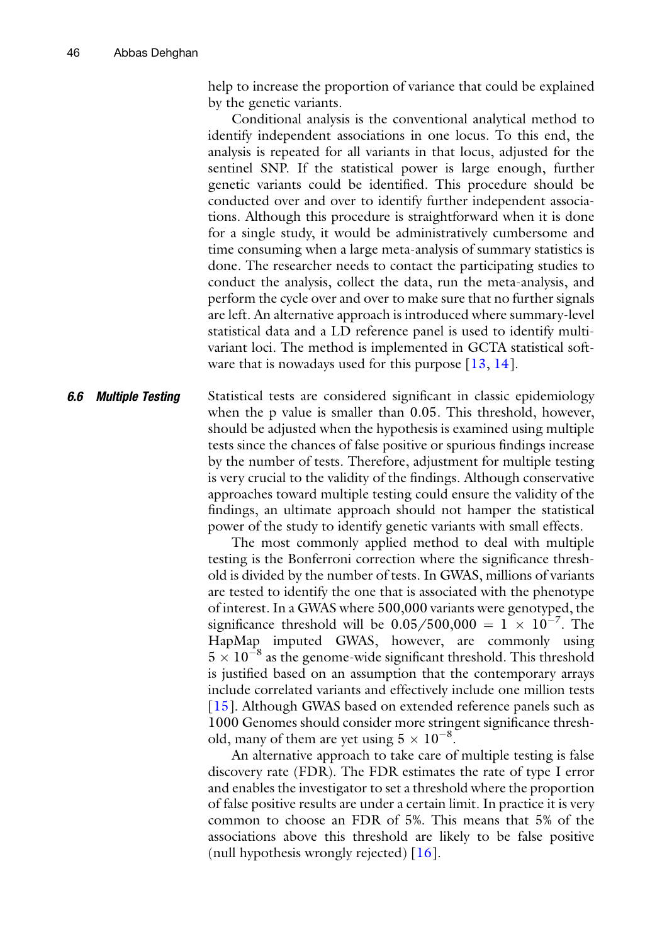help to increase the proportion of variance that could be explained by the genetic variants.

Conditional analysis is the conventional analytical method to identify independent associations in one locus. To this end, the analysis is repeated for all variants in that locus, adjusted for the sentinel SNP. If the statistical power is large enough, further genetic variants could be identified. This procedure should be conducted over and over to identify further independent associations. Although this procedure is straightforward when it is done for a single study, it would be administratively cumbersome and time consuming when a large meta-analysis of summary statistics is done. The researcher needs to contact the participating studies to conduct the analysis, collect the data, run the meta-analysis, and perform the cycle over and over to make sure that no further signals are left. An alternative approach is introduced where summary-level statistical data and a LD reference panel is used to identify multivariant loci. The method is implemented in GCTA statistical soft-ware that is nowadays used for this purpose [\[13,](#page-11-4) [14](#page-11-10)].

**6.6 Multiple Testing** Statistical tests are considered significant in classic epidemiology when the p value is smaller than 0.05. This threshold, however, should be adjusted when the hypothesis is examined using multiple tests since the chances of false positive or spurious findings increase by the number of tests. Therefore, adjustment for multiple testing is very crucial to the validity of the findings. Although conservative approaches toward multiple testing could ensure the validity of the findings, an ultimate approach should not hamper the statistical power of the study to identify genetic variants with small effects.

> The most commonly applied method to deal with multiple testing is the Bonferroni correction where the significance threshold is divided by the number of tests. In GWAS, millions of variants are tested to identify the one that is associated with the phenotype of interest. In a GWAS where 500,000 variants were genotyped, the significance threshold will be  $0.05/500,000 = 1 \times 10^{-7}$ . The HapMap imputed GWAS, however, are commonly using  $5 \times 10^{-8}$  as the genome-wide significant threshold. This threshold is justified based on an assumption that the contemporary arrays include correlated variants and effectively include one million tests [[15\]](#page-11-11). Although GWAS based on extended reference panels such as 1000 Genomes should consider more stringent significance threshold, many of them are yet using  $5 \times 10^{-8}$ .

> An alternative approach to take care of multiple testing is false discovery rate (FDR). The FDR estimates the rate of type I error and enables the investigator to set a threshold where the proportion of false positive results are under a certain limit. In practice it is very common to choose an FDR of 5%. This means that 5% of the associations above this threshold are likely to be false positive (null hypothesis wrongly rejected) [[16](#page-12-0)].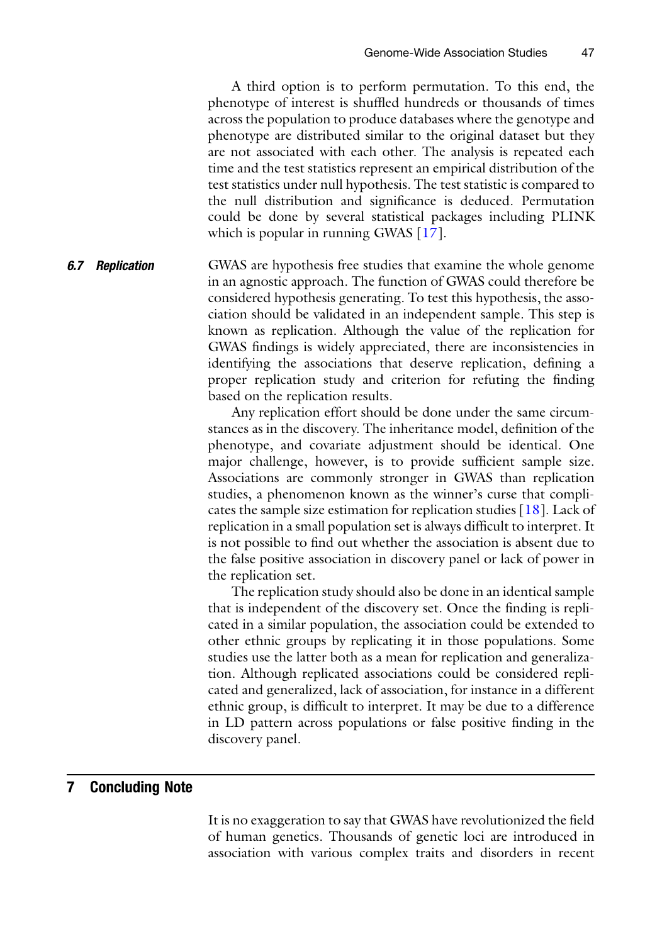A third option is to perform permutation. To this end, the phenotype of interest is shuffled hundreds or thousands of times across the population to produce databases where the genotype and phenotype are distributed similar to the original dataset but they are not associated with each other. The analysis is repeated each time and the test statistics represent an empirical distribution of the test statistics under null hypothesis. The test statistic is compared to the null distribution and significance is deduced. Permutation could be done by several statistical packages including PLINK which is popular in running GWAS [[17\]](#page-12-1).

**6.7 Replication** GWAS are hypothesis free studies that examine the whole genome in an agnostic approach. The function of GWAS could therefore be considered hypothesis generating. To test this hypothesis, the association should be validated in an independent sample. This step is known as replication. Although the value of the replication for GWAS findings is widely appreciated, there are inconsistencies in identifying the associations that deserve replication, defining a proper replication study and criterion for refuting the finding based on the replication results.

> Any replication effort should be done under the same circumstances as in the discovery. The inheritance model, definition of the phenotype, and covariate adjustment should be identical. One major challenge, however, is to provide sufficient sample size. Associations are commonly stronger in GWAS than replication studies, a phenomenon known as the winner's curse that complicates the sample size estimation for replication studies  $[18]$ . Lack of replication in a small population set is always difficult to interpret. It is not possible to find out whether the association is absent due to the false positive association in discovery panel or lack of power in the replication set.

> The replication study should also be done in an identical sample that is independent of the discovery set. Once the finding is replicated in a similar population, the association could be extended to other ethnic groups by replicating it in those populations. Some studies use the latter both as a mean for replication and generalization. Although replicated associations could be considered replicated and generalized, lack of association, for instance in a different ethnic group, is difficult to interpret. It may be due to a difference in LD pattern across populations or false positive finding in the discovery panel.

#### 7 Concluding Note

It is no exaggeration to say that GWAS have revolutionized the field of human genetics. Thousands of genetic loci are introduced in association with various complex traits and disorders in recent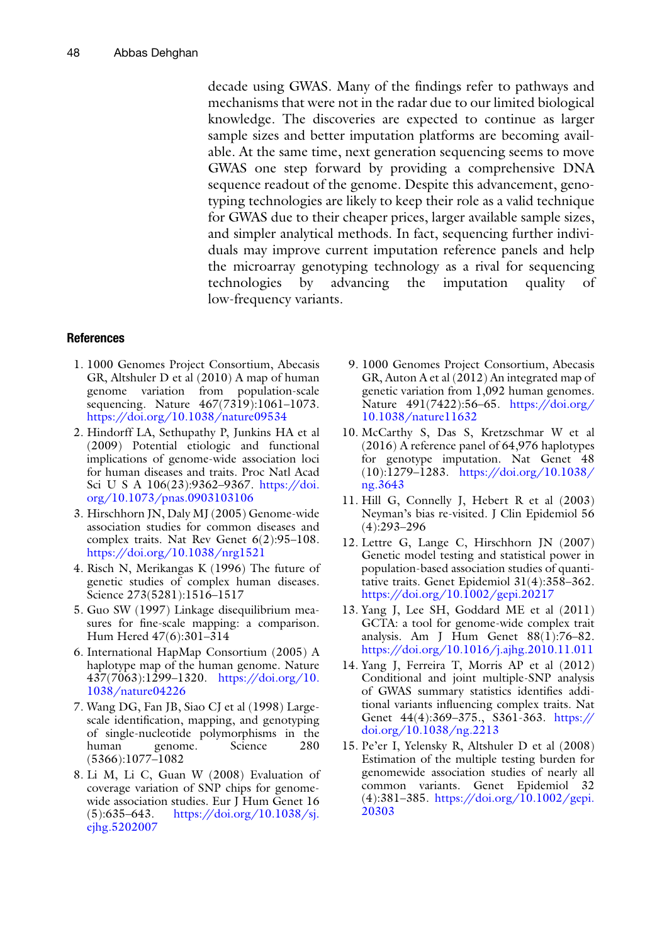decade using GWAS. Many of the findings refer to pathways and mechanisms that were not in the radar due to our limited biological knowledge. The discoveries are expected to continue as larger sample sizes and better imputation platforms are becoming available. At the same time, next generation sequencing seems to move GWAS one step forward by providing a comprehensive DNA sequence readout of the genome. Despite this advancement, genotyping technologies are likely to keep their role as a valid technique for GWAS due to their cheaper prices, larger available sample sizes, and simpler analytical methods. In fact, sequencing further individuals may improve current imputation reference panels and help the microarray genotyping technology as a rival for sequencing technologies by advancing the imputation quality of low-frequency variants.

#### <span id="page-11-0"></span>References

- 1. 1000 Genomes Project Consortium, Abecasis GR, Altshuler D et al (2010) A map of human genome variation from population-scale sequencing. Nature 467(7319):1061–1073. <https://doi.org/10.1038/nature09534>
- <span id="page-11-1"></span>2. Hindorff LA, Sethupathy P, Junkins HA et al (2009) Potential etiologic and functional implications of genome-wide association loci for human diseases and traits. Proc Natl Acad Sci U S A 106(23):9362–9367. [https://doi.](https://doi.org/10.1073/pnas.0903103106) [org/10.1073/pnas.0903103106](https://doi.org/10.1073/pnas.0903103106)
- <span id="page-11-9"></span><span id="page-11-8"></span><span id="page-11-2"></span>3. Hirschhorn JN, Daly MJ (2005) Genome-wide association studies for common diseases and complex traits. Nat Rev Genet 6(2):95–108. <https://doi.org/10.1038/nrg1521>
- <span id="page-11-3"></span>4. Risch N, Merikangas K (1996) The future of genetic studies of complex human diseases. Science 273(5281):1516–1517
- <span id="page-11-4"></span>5. Guo SW (1997) Linkage disequilibrium measures for fine-scale mapping: a comparison. Hum Hered 47(6):301–314
- <span id="page-11-10"></span><span id="page-11-5"></span>6. International HapMap Consortium (2005) A haplotype map of the human genome. Nature 437(7063):1299–1320. [https://doi.org/10.](https://doi.org/10.1038/nature04226) [1038/nature04226](https://doi.org/10.1038/nature04226)
- <span id="page-11-6"></span>7. Wang DG, Fan JB, Siao CJ et al (1998) Largescale identification, mapping, and genotyping of single-nucleotide polymorphisms in the human genome. Science 280 (5366):1077–1082
- <span id="page-11-11"></span><span id="page-11-7"></span>8. Li M, Li C, Guan W (2008) Evaluation of coverage variation of SNP chips for genomewide association studies. Eur J Hum Genet 16 (5):635–643. [https://doi.org/10.1038/sj.](https://doi.org/10.1038/sj.ejhg.5202007) [ejhg.5202007](https://doi.org/10.1038/sj.ejhg.5202007)
- 9. 1000 Genomes Project Consortium, Abecasis GR, Auton A et al (2012) An integrated map of genetic variation from 1,092 human genomes. Nature 491(7422):56–65. [https://doi.org/](https://doi.org/10.1038/nature11632) [10.1038/nature11632](https://doi.org/10.1038/nature11632)
- 10. McCarthy S, Das S, Kretzschmar W et al (2016) A reference panel of 64,976 haplotypes for genotype imputation. Nat Genet 48 (10):1279–1283. [https://doi.org/10.1038/](https://doi.org/10.1038/ng.3643) [ng.3643](https://doi.org/10.1038/ng.3643)
- 11. Hill G, Connelly J, Hebert R et al (2003) Neyman's bias re-visited. J Clin Epidemiol 56 (4):293–296
- 12. Lettre G, Lange C, Hirschhorn JN (2007) Genetic model testing and statistical power in population-based association studies of quantitative traits. Genet Epidemiol 31(4):358–362. <https://doi.org/10.1002/gepi.20217>
- 13. Yang J, Lee SH, Goddard ME et al (2011) GCTA: a tool for genome-wide complex trait analysis. Am J Hum Genet 88(1):76–82. <https://doi.org/10.1016/j.ajhg.2010.11.011>
- 14. Yang J, Ferreira T, Morris AP et al (2012) Conditional and joint multiple-SNP analysis of GWAS summary statistics identifies additional variants influencing complex traits. Nat Genet 44(4):369–375., S361-363. [https://](https://doi.org/10.1038/ng.2213) [doi.org/10.1038/ng.2213](https://doi.org/10.1038/ng.2213)
- 15. Pe'er I, Yelensky R, Altshuler D et al (2008) Estimation of the multiple testing burden for genomewide association studies of nearly all common variants. Genet Epidemiol 32 (4):381–385. [https://doi.org/10.1002/gepi.](https://doi.org/10.1002/gepi.20303) [20303](https://doi.org/10.1002/gepi.20303)